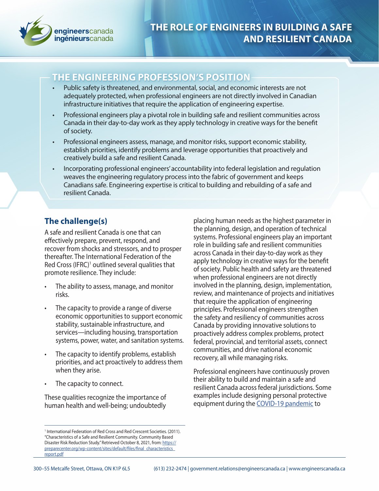

## **THE ENGINEERING PROFESSION'S POSITION**

- Public safety is threatened, and environmental, social, and economic interests are not adequately protected, when professional engineers are not directly involved in Canadian infrastructure initiatives that require the application of engineering expertise.
- Professional engineers play a pivotal role in building safe and resilient communities across Canada in their day-to-day work as they apply technology in creative ways for the benefit of society.
- Professional engineers assess, manage, and monitor risks, support economic stability, establish priorities, identify problems and leverage opportunities that proactively and creatively build a safe and resilient Canada.
- Incorporating professional engineers' accountability into federal legislation and regulation weaves the engineering regulatory process into the fabric of government and keeps Canadians safe. Engineering expertise is critical to building and rebuilding of a safe and resilient Canada.

# **The challenge(s)**

A safe and resilient Canada is one that can effectively prepare, prevent, respond, and recover from shocks and stressors, and to prosper thereafter. The International Federation of the Red Cross (IFRC)<sup>1</sup> outlined several qualities that promote resilience. They include:

- The ability to assess, manage, and monitor risks.
- The capacity to provide a range of diverse economic opportunities to support economic stability, sustainable infrastructure, and services—including housing, transportation systems, power, water, and sanitation systems.
- The capacity to identify problems, establish priorities, and act proactively to address them when they arise.
- The capacity to connect.

These qualities recognize the importance of human health and well-being; undoubtedly

<sup>1</sup> International Federation of Red Cross and Red Crescent Societies. (2011). "Characteristics of a Safe and Resilient Community. Community Based Disaster Risk Reduction Study." Retrieved October 8, 2021, from: [https://](https://preparecenter.org/wp-content/sites/default/files/final_characteristics_report.pdf  ) [preparecenter.org/wp-content/sites/default/files/final\\_characteristics\\_](https://preparecenter.org/wp-content/sites/default/files/final_characteristics_report.pdf  ) [report.pdf](https://preparecenter.org/wp-content/sites/default/files/final_characteristics_report.pdf  )

placing human needs as the highest parameter in the planning, design, and operation of technical systems. Professional engineers play an important role in building safe and resilient communities across Canada in their day-to-day work as they apply technology in creative ways for the benefit of society. Public health and safety are threatened when professional engineers are not directly involved in the planning, design, implementation, review, and maintenance of projects and initiatives that require the application of engineering principles. Professional engineers strengthen the safety and resiliency of communities across Canada by providing innovative solutions to proactively address complex problems, protect federal, provincial, and territorial assets, connect communities, and drive national economic recovery, all while managing risks.

Professional engineers have continuously proven their ability to build and maintain a safe and resilient Canada across federal jurisdictions. Some examples include designing personal protective equipment during the [COVID-19 pandemic](https://engineerscanada.ca/sites/default/files/2021-03/Role-of-engineers-in-Canadas-long-term-economic-recovery-EN.pdf) to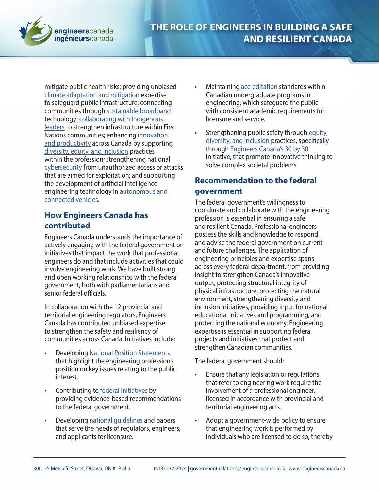

mitigate public health risks; providing unbiased [climate adaptation and mitigation](https://engineerscanada.ca/sites/default/files/public-policy/climatechange-en.pdf) expertise to safeguard public infrastructure; connecting communities through [sustainable broadband](https://engineerscanada.ca/sites/default/files/2021-03/Building-Canadas-high-speed-broadband-through-a-sustainable-digital-infrastructure-EN.pdf) technology; [collaborating with Indigenous](https://engineerscanada.ca/sites/default/files/public-policy/nps-infrastructure-first-nations-en.pdf)  [leaders](https://engineerscanada.ca/sites/default/files/public-policy/nps-infrastructure-first-nations-en.pdf) to strengthen infrastructure within First Nations communities; enhancing [innovation](https://engineerscanada.ca/sites/default/files/2021-03/Research-Development-and-Innovation-EN.pdf)  [and productivity](https://engineerscanada.ca/sites/default/files/2021-03/Research-Development-and-Innovation-EN.pdf) across Canada by supporting [diversity, equity, and inclusion](https://engineerscanada.ca/sites/default/files/public-policy/nps-diversity-inclusion-en.pdf) practices within the profession; strengthening national [cybersecurity](https://engineerscanada.ca/sites/default/files/public-policy/cyber-security-en.pdf) from unauthorized access or attacks that are aimed for exploitation; and supporting the development of artificial intelligence engineering technology in [autonomous and](https://engineerscanada.ca/sites/default/files/public-policy/ai-technology-auto-connected-vehicles-en.pdf)  [connected vehicles](https://engineerscanada.ca/sites/default/files/public-policy/ai-technology-auto-connected-vehicles-en.pdf).

#### **How Engineers Canada has contributed**

Engineers Canada understands the importance of actively engaging with the federal government on initiatives that impact the work that professional engineers do and that include activities that could involve engineering work. We have built strong and open working relationships with the federal government, both with parliamentarians and senior federal officials.

In collaboration with the 12 provincial and territorial engineering regulators, Engineers Canada has contributed unbiased expertise to strengthen the safety and resiliency of communities across Canada. Initiatives include:

- Developing [National Position Statements](https://engineerscanada.ca/public-policy/national-position-statements) that highlight the engineering profession's position on key issues relating to the public interest.
- Contributing to [federal initiatives](https://engineerscanada.ca/public-policy/government-submissions) by providing evidence-based recommendations to the federal government.
- Developing [national guidelines](https://engineerscanada.ca/regulatory-excellence/national-engineering-guidelines) and papers that serve the needs of regulators, engineers, and applicants for licensure.
- Maintaining [accreditation](https://engineerscanada.ca/accreditation/about-accreditation) standards within Canadian undergraduate programs in engineering, which safeguard the public with consistent academic requirements for licensure and service.
- Strengthening public safety through equity, [diversity, and inclusion](https://engineerscanada.ca/diversity/about-diversity-in-engineering) practices, specifically through [Engineers Canada's 30 by 30](https://engineerscanada.ca/diversity/women-in-engineering/30-by-30) initiative, that promote innovative thinking to solve complex societal problems.

### **Recommendation to the federal government**

The federal government's willingness to coordinate and collaborate with the engineering profession is essential in ensuring a safe and resilient Canada. Professional engineers possess the skills and knowledge to respond and advise the federal government on current and future challenges. The application of engineering principles and expertise spans across every federal department, from providing insight to strengthen Canada's innovative output, protecting structural integrity of physical infrastructure, protecting the natural environment, strengthening diversity and inclusion initiatives, providing input for national educational initiatives and programming, and protecting the national economy. Engineering expertise is essential in supporting federal projects and initiatives that protect and strengthen Canadian communities.

The federal government should:

- Ensure that any legislation or regulations that refer to engineering work require the involvement of a professional engineer, licensed in accordance with provincial and territorial engineering acts.
- Adopt a government-wide policy to ensure that engineering work is performed by individuals who are licensed to do so, thereby